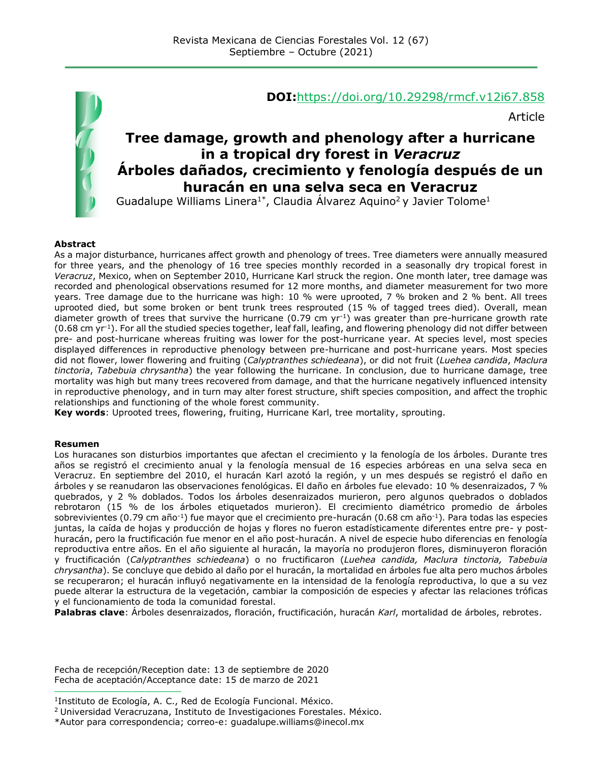

#### **DOI:**<https://doi.org/10.29298/rmcf.v12i67.858>

Article

# **Tree damage, growth and phenology after a hurricane in a tropical dry forest in** *Veracruz* **Árboles dañados, crecimiento y fenología después de un huracán en una selva seca en Veracruz**

Guadalupe Williams Linera<sup>1\*</sup>, Claudia Álvarez Aquino<sup>2</sup> y Javier Tolome<sup>1</sup>

#### **Abstract**

As a major disturbance, hurricanes affect growth and phenology of trees. Tree diameters were annually measured for three years, and the phenology of 16 tree species monthly recorded in a seasonally dry tropical forest in *Veracruz*, Mexico, when on September 2010, Hurricane Karl struck the region. One month later, tree damage was recorded and phenological observations resumed for 12 more months, and diameter measurement for two more years. Tree damage due to the hurricane was high: 10 % were uprooted, 7 % broken and 2 % bent. All trees uprooted died, but some broken or bent trunk trees resprouted (15 % of tagged trees died). Overall, mean diameter growth of trees that survive the hurricane (0.79 cm  $yr^{-1}$ ) was greater than pre-hurricane growth rate  $(0.68 \text{ cm yr}^1)$ . For all the studied species together, leaf fall, leafing, and flowering phenology did not differ between pre- and post-hurricane whereas fruiting was lower for the post-hurricane year. At species level, most species displayed differences in reproductive phenology between pre-hurricane and post-hurricane years. Most species did not flower, lower flowering and fruiting (*Calyptranthes schiedeana*), or did not fruit (*Luehea candida*, *Maclura tinctoria*, *Tabebuia chrysantha*) the year following the hurricane. In conclusion, due to hurricane damage, tree mortality was high but many trees recovered from damage, and that the hurricane negatively influenced intensity in reproductive phenology, and in turn may alter forest structure, shift species composition, and affect the trophic relationships and functioning of the whole forest community.

**Key words**: Uprooted trees, flowering, fruiting, Hurricane Karl, tree mortality, sprouting.

#### **Resumen**

Los huracanes son disturbios importantes que afectan el crecimiento y la fenología de los árboles. Durante tres años se registró el crecimiento anual y la fenología mensual de 16 especies arbóreas en una selva seca en Veracruz. En septiembre del 2010, el huracán Karl azotó la región, y un mes después se registró el daño en árboles y se reanudaron las observaciones fenológicas. El daño en árboles fue elevado: 10 % desenraizados, 7 % quebrados, y 2 % doblados. Todos los árboles desenraizados murieron, pero algunos quebrados o doblados rebrotaron (15 % de los árboles etiquetados murieron). El crecimiento diamétrico promedio de árboles sobrevivientes (0.79 cm año<sup>-1</sup>) fue mayor que el crecimiento pre-huracán (0.68 cm año<sup>-1</sup>). Para todas las especies juntas, la caída de hojas y producción de hojas y flores no fueron estadísticamente diferentes entre pre- y posthuracán, pero la fructificación fue menor en el año post-huracán. A nivel de especie hubo diferencias en fenología reproductiva entre años. En el año siguiente al huracán, la mayoría no produjeron flores, disminuyeron floración y fructificación (*Calyptranthes schiedeana*) o no fructificaron (*Luehea candida, Maclura tinctoria, Tabebuia chrysantha*). Se concluye que debido al daño por el huracán, la mortalidad en árboles fue alta pero muchos árboles se recuperaron; el huracán influyó negativamente en la intensidad de la fenología reproductiva, lo que a su vez puede alterar la estructura de la vegetación, cambiar la composición de especies y afectar las relaciones tróficas y el funcionamiento de toda la comunidad forestal.

**Palabras clave**: Árboles desenraizados, floración, fructificación, huracán *Karl*, mortalidad de árboles, rebrotes.

Fecha de recepción/Reception date: 13 de septiembre de 2020 Fecha de aceptación/Acceptance date: 15 de marzo de 2021

**\_\_\_\_\_\_\_\_\_\_\_\_\_\_\_\_\_\_\_\_\_\_\_\_\_\_\_\_\_\_\_**

<sup>1</sup> Instituto de Ecología, A. C., Red de Ecología Funcional. México.

<sup>2</sup> Universidad Veracruzana, Instituto de Investigaciones Forestales. México.

<sup>\*</sup>Autor para correspondencia; correo-e: [guadalupe.williams@inecol.mx](mailto:guadalupe.williams@inecol.mx)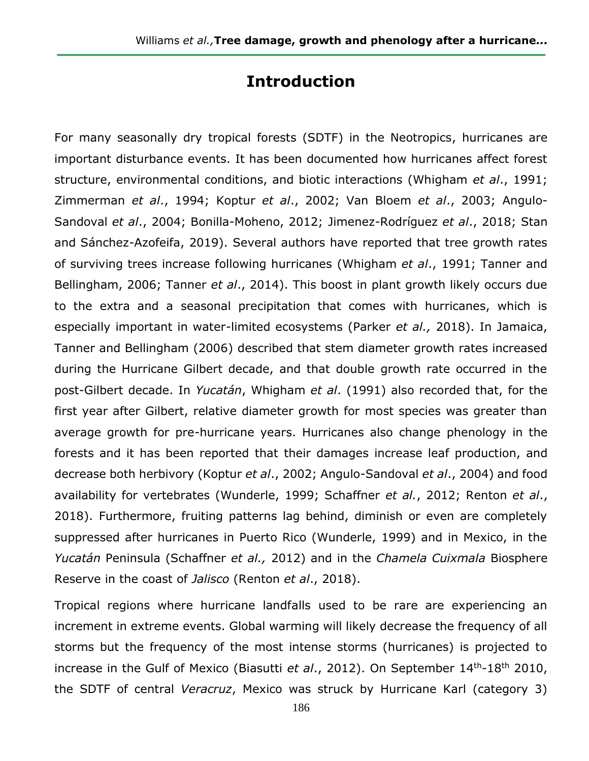# **Introduction**

For many seasonally dry tropical forests (SDTF) in the Neotropics, hurricanes are important disturbance events. It has been documented how hurricanes affect forest structure, environmental conditions, and biotic interactions (Whigham *et al*., 1991; Zimmerman *et al*., 1994; Koptur *et al*., 2002; Van Bloem *et al*., 2003; Angulo-Sandoval *et al*., 2004; Bonilla-Moheno, 2012; Jimenez-Rodríguez *et al*., 2018; Stan and Sánchez-Azofeifa, 2019). Several authors have reported that tree growth rates of surviving trees increase following hurricanes (Whigham *et al*., 1991; Tanner and Bellingham, 2006; Tanner *et al*., 2014). This boost in plant growth likely occurs due to the extra and a seasonal precipitation that comes with hurricanes, which is especially important in water-limited ecosystems (Parker *et al.,* 2018). In Jamaica, Tanner and Bellingham (2006) described that stem diameter growth rates increased during the Hurricane Gilbert decade, and that double growth rate occurred in the post-Gilbert decade. In *Yucatán*, Whigham *et al*. (1991) also recorded that, for the first year after Gilbert, relative diameter growth for most species was greater than average growth for pre-hurricane years. Hurricanes also change phenology in the forests and it has been reported that their damages increase leaf production, and decrease both herbivory (Koptur *et al*., 2002; Angulo-Sandoval *et al*., 2004) and food availability for vertebrates (Wunderle, 1999; Schaffner *et al.*, 2012; Renton *et al*., 2018). Furthermore, fruiting patterns lag behind, diminish or even are completely suppressed after hurricanes in Puerto Rico (Wunderle, 1999) and in Mexico, in the *Yucatán* Peninsula (Schaffner *et al.,* 2012) and in the *Chamela Cuixmala* Biosphere Reserve in the coast of *Jalisco* (Renton *et al*., 2018).

Tropical regions where hurricane landfalls used to be rare are experiencing an increment in extreme events. Global warming will likely decrease the frequency of all storms but the frequency of the most intense storms (hurricanes) is projected to increase in the Gulf of Mexico (Biasutti *et al.*, 2012). On September 14<sup>th</sup>-18<sup>th</sup> 2010, the SDTF of central *Veracruz*, Mexico was struck by Hurricane Karl (category 3)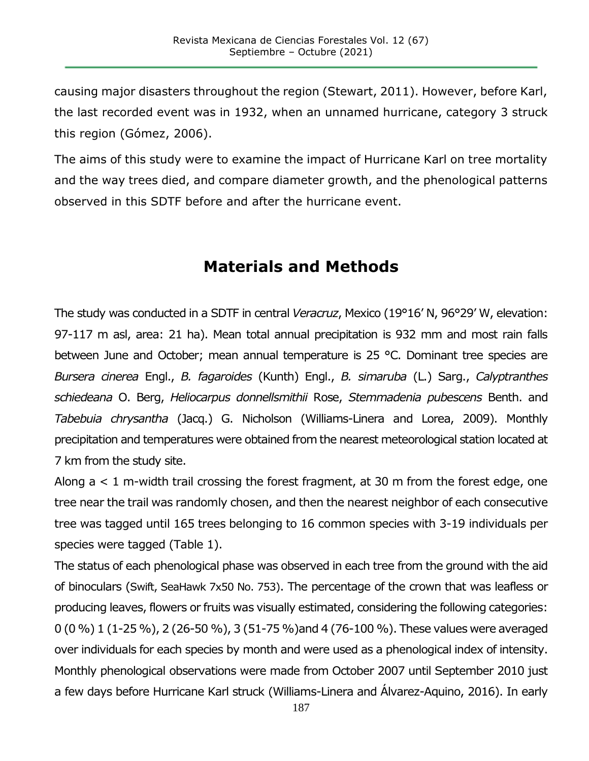causing major disasters throughout the region (Stewart, 2011). However, before Karl, the last recorded event was in 1932, when an unnamed hurricane, category 3 struck this region (Gómez, 2006).

The aims of this study were to examine the impact of Hurricane Karl on tree mortality and the way trees died, and compare diameter growth, and the phenological patterns observed in this SDTF before and after the hurricane event.

# **Materials and Methods**

The study was conducted in a SDTF in central *Veracruz*, Mexico (19°16' N, 96°29' W, elevation: 97-117 m asl, area: 21 ha). Mean total annual precipitation is 932 mm and most rain falls between June and October; mean annual temperature is 25 °C. Dominant tree species are *Bursera cinerea* Engl., *B. fagaroides* (Kunth) Engl., *B. simaruba* (L.) Sarg., *Calyptranthes schiedeana* O. Berg, *Heliocarpus donnellsmithii* Rose, *Stemmadenia pubescens* Benth. and *Tabebuia chrysantha* (Jacq.) G. Nicholson (Williams-Linera and Lorea, 2009). Monthly precipitation and temperatures were obtained from the nearest meteorological station located at 7 km from the study site.

Along  $a < 1$  m-width trail crossing the forest fragment, at 30 m from the forest edge, one tree near the trail was randomly chosen, and then the nearest neighbor of each consecutive tree was tagged until 165 trees belonging to 16 common species with 3-19 individuals per species were tagged (Table 1).

The status of each phenological phase was observed in each tree from the ground with the aid of binoculars (Swift, SeaHawk 7x50 No. 753). The percentage of the crown that was leafless or producing leaves, flowers or fruits was visually estimated, considering the following categories: 0 (0 %) 1 (1-25 %), 2 (26-50 %), 3 (51-75 %)and 4 (76-100 %). These values were averaged over individuals for each species by month and were used as a phenological index of intensity. Monthly phenological observations were made from October 2007 until September 2010 just a few days before Hurricane Karl struck (Williams-Linera and Álvarez-Aquino, 2016). In early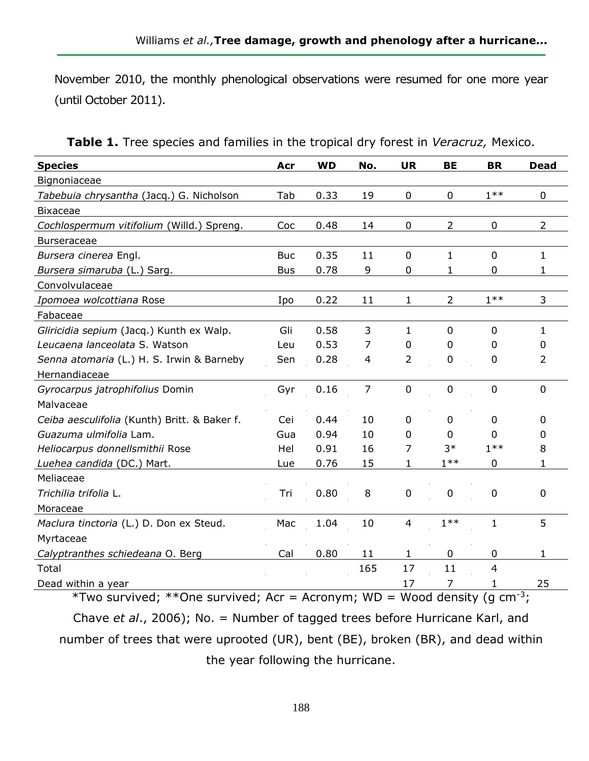November 2010, the monthly phenological observations were resumed for one more year (until October 2011).

| <b>Species</b>                               | Acr        | <b>WD</b> | No. | <b>UR</b>      | <b>BE</b>      | <b>BR</b>      | <b>Dead</b>    |
|----------------------------------------------|------------|-----------|-----|----------------|----------------|----------------|----------------|
| Bignoniaceae                                 |            |           |     |                |                |                |                |
| Tabebuia chrysantha (Jacq.) G. Nicholson     | Tab        | 0.33      | 19  | 0              | 0              | $1***$         | 0              |
| <b>Bixaceae</b>                              |            |           |     |                |                |                |                |
| Cochlospermum vitifolium (Willd.) Spreng.    | Coc        | 0.48      | 14  | 0              | $\overline{2}$ | $\mathbf 0$    | $\overline{2}$ |
| <b>Burseraceae</b>                           |            |           |     |                |                |                |                |
| Bursera cinerea Engl.                        | <b>Buc</b> | 0.35      | 11  | $\mathbf 0$    | $\mathbf{1}$   | $\mathbf 0$    | 1              |
| Bursera simaruba (L.) Sarg.                  | <b>Bus</b> | 0.78      | 9   | $\mathbf 0$    | 1              | $\mathbf 0$    | 1              |
| Convolvulaceae                               |            |           |     |                |                |                |                |
| Ipomoea wolcottiana Rose                     | Ipo        | 0.22      | 11  | 1              | $\overline{2}$ | $1**$          | 3              |
| Fabaceae                                     |            |           |     |                |                |                |                |
| Gliricidia sepium (Jacq.) Kunth ex Walp.     | Gli        | 0.58      | 3   | $\mathbf{1}$   | $\overline{0}$ | $\overline{0}$ | 1              |
| Leucaena lanceolata S. Watson                | Leu        | 0.53      | 7   | 0              | 0              | 0              | 0              |
| Senna atomaria (L.) H. S. Irwin & Barneby    | Sen        | 0.28      | 4   | 2              | 0              | 0              | $\overline{2}$ |
| Hernandiaceae                                |            |           |     |                |                |                |                |
| Gyrocarpus jatrophifolius Domin              | Gyr        | 0.16      | 7   | 0              | 0              | 0              | 0              |
| Malvaceae                                    |            |           |     |                |                |                |                |
| Ceiba aesculifolia (Kunth) Britt. & Baker f. | Cei        | 0.44      | 10  | $\mathbf{0}$   | 0              | 0              | 0              |
| Guazuma ulmifolia Lam.                       | Gua        | 0.94      | 10  | 0              | 0              | 0              | 0              |
| Heliocarpus donnellsmithii Rose              | Hel        | 0.91      | 16  | 7              | $3*$           | $1***$         | 8              |
| Luehea candida (DC.) Mart.                   | Lue        | 0.76      | 15  | 1              | $1**$          | $\mathbf 0$    | 1              |
| Meliaceae                                    |            |           |     |                |                |                |                |
| Trichilia trifolia L.                        | Tri        | 0.80      | 8   | $\mathbf 0$    | 0              | $\mathbf 0$    | 0              |
| Moraceae                                     |            |           |     |                |                |                |                |
| Maclura tinctoria (L.) D. Don ex Steud.      | Mac        | 1.04      | 10  | $\overline{4}$ | $1***$         | 1              | 5              |
| Myrtaceae                                    |            |           |     |                |                |                |                |
| Calyptranthes schiedeana O. Berg             | Cal        | 0.80      | 11  | 1              | 0              | 0              | 1              |
| Total                                        |            |           | 165 | 17             | 11             | 4              |                |
| Dead within a year                           |            |           |     | 17             | 7              | 1              | 25             |

**Table 1.** Tree species and families in the tropical dry forest in *Veracruz,* Mexico.

\*Two survived; \*\*One survived; Acr = Acronym; WD = Wood density (g  $cm^{-3}$ ; Chave *et al*., 2006); No. = Number of tagged trees before Hurricane Karl, and number of trees that were uprooted (UR), bent (BE), broken (BR), and dead within the year following the hurricane.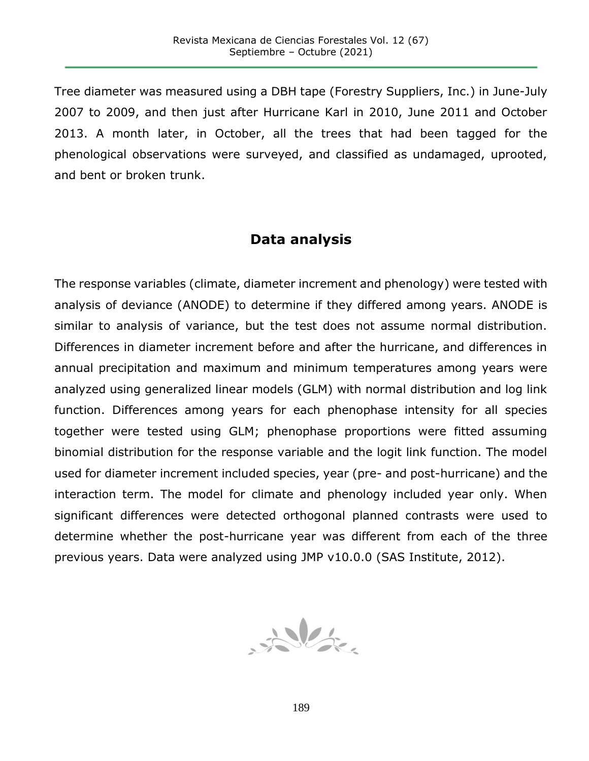Tree diameter was measured using a DBH tape (Forestry Suppliers, Inc.) in June-July 2007 to 2009, and then just after Hurricane Karl in 2010, June 2011 and October 2013. A month later, in October, all the trees that had been tagged for the phenological observations were surveyed, and classified as undamaged, uprooted, and bent or broken trunk.

# **Data analysis**

The response variables (climate, diameter increment and phenology) were tested with analysis of deviance (ANODE) to determine if they differed among years. ANODE is similar to analysis of variance, but the test does not assume normal distribution. Differences in diameter increment before and after the hurricane, and differences in annual precipitation and maximum and minimum temperatures among years were analyzed using generalized linear models (GLM) with normal distribution and log link function. Differences among years for each phenophase intensity for all species together were tested using GLM; phenophase proportions were fitted assuming binomial distribution for the response variable and the logit link function. The model used for diameter increment included species, year (pre- and post-hurricane) and the interaction term. The model for climate and phenology included year only. When significant differences were detected orthogonal planned contrasts were used to determine whether the post-hurricane year was different from each of the three previous years. Data were analyzed using JMP v10.0.0 (SAS Institute, 2012).

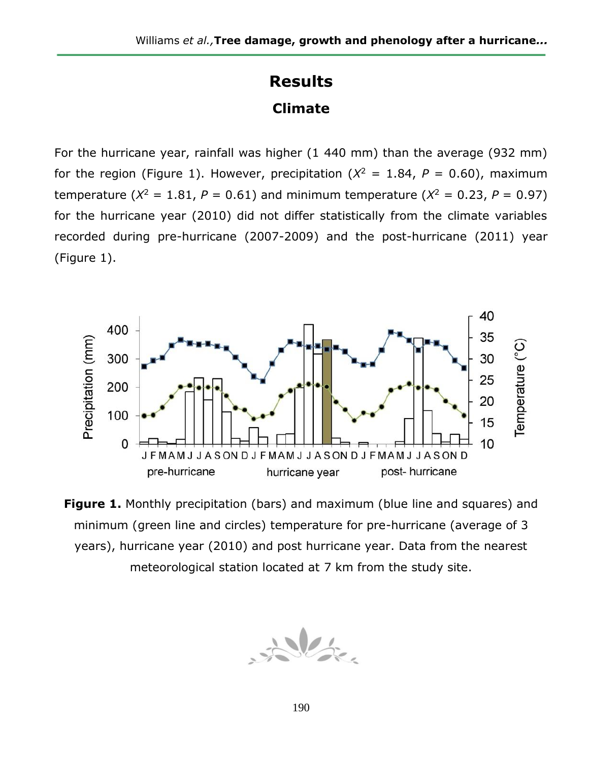# **Results Climate**

For the hurricane year, rainfall was higher (1 440 mm) than the average (932 mm) for the region (Figure 1). However, precipitation ( $X^2 = 1.84$ ,  $P = 0.60$ ), maximum temperature ( $X^2 = 1.81$ ,  $P = 0.61$ ) and minimum temperature ( $X^2 = 0.23$ ,  $P = 0.97$ ) for the hurricane year (2010) did not differ statistically from the climate variables recorded during pre-hurricane (2007-2009) and the post-hurricane (2011) year (Figure 1).



**Figure 1.** Monthly precipitation (bars) and maximum (blue line and squares) and minimum (green line and circles) temperature for pre-hurricane (average of 3 years), hurricane year (2010) and post hurricane year. Data from the nearest meteorological station located at 7 km from the study site.

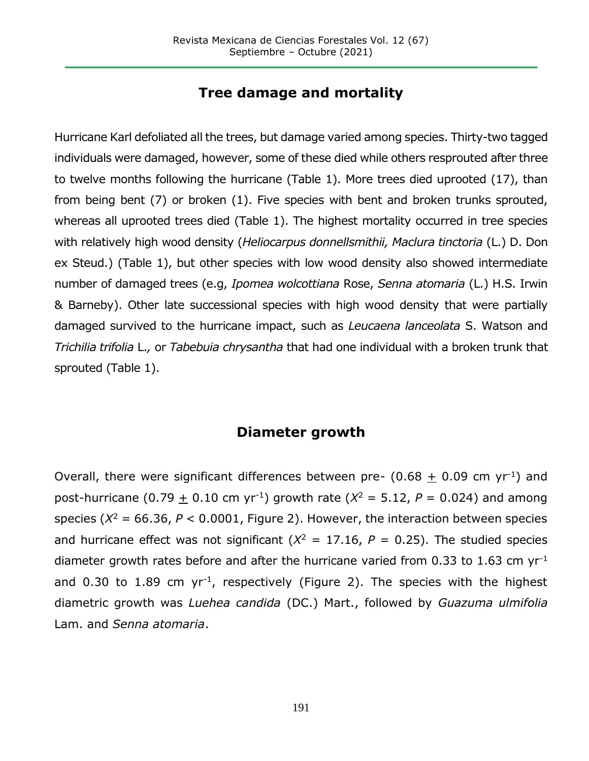## **Tree damage and mortality**

Hurricane Karl defoliated all the trees, but damage varied among species. Thirty-two tagged individuals were damaged, however, some of these died while others resprouted after three to twelve months following the hurricane (Table 1). More trees died uprooted (17), than from being bent (7) or broken (1). Five species with bent and broken trunks sprouted, whereas all uprooted trees died (Table 1). The highest mortality occurred in tree species with relatively high wood density (*Heliocarpus donnellsmithii, Maclura tinctoria* (L.) D. Don ex Steud.) (Table 1), but other species with low wood density also showed intermediate number of damaged trees (e.g, *Ipomea wolcottiana* Rose, *Senna atomaria* (L.) H.S. Irwin & Barneby). Other late successional species with high wood density that were partially damaged survived to the hurricane impact, such as *Leucaena lanceolata* S. Watson and *Trichilia trifolia* L.*,* or *Tabebuia chrysantha* that had one individual with a broken trunk that sprouted (Table 1).

## **Diameter growth**

Overall, there were significant differences between pre-  $(0.68 + 0.09$  cm yr<sup>-1</sup>) and post-hurricane (0.79 + 0.10 cm yr<sup>-1</sup>) growth rate ( $X^2 = 5.12$ ,  $P = 0.024$ ) and among species ( $X^2 = 66.36$ ,  $P < 0.0001$ , Figure 2). However, the interaction between species and hurricane effect was not significant ( $X^2 = 17.16$ ,  $P = 0.25$ ). The studied species diameter growth rates before and after the hurricane varied from 0.33 to 1.63 cm  $yr^{-1}$ and 0.30 to 1.89 cm  $yr^{-1}$ , respectively (Figure 2). The species with the highest diametric growth was *Luehea candida* (DC.) Mart., followed by *Guazuma ulmifolia* Lam. and *Senna atomaria*.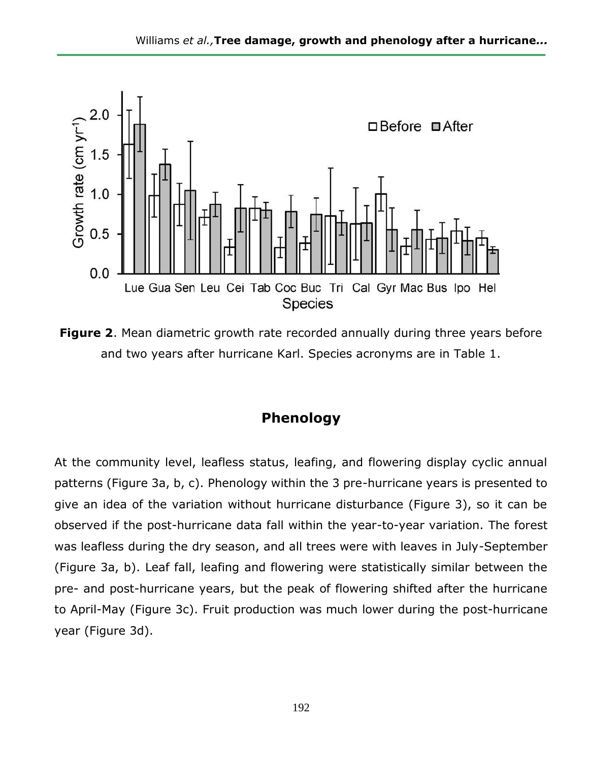

**Figure 2**. Mean diametric growth rate recorded annually during three years before and two years after hurricane Karl. Species acronyms are in Table 1.

# **Phenology**

At the community level, leafless status, leafing, and flowering display cyclic annual patterns (Figure 3a, b, c). Phenology within the 3 pre-hurricane years is presented to give an idea of the variation without hurricane disturbance (Figure 3), so it can be observed if the post-hurricane data fall within the year-to-year variation. The forest was leafless during the dry season, and all trees were with leaves in July-September (Figure 3a, b). Leaf fall, leafing and flowering were statistically similar between the pre- and post-hurricane years, but the peak of flowering shifted after the hurricane to April-May (Figure 3c). Fruit production was much lower during the post-hurricane year (Figure 3d).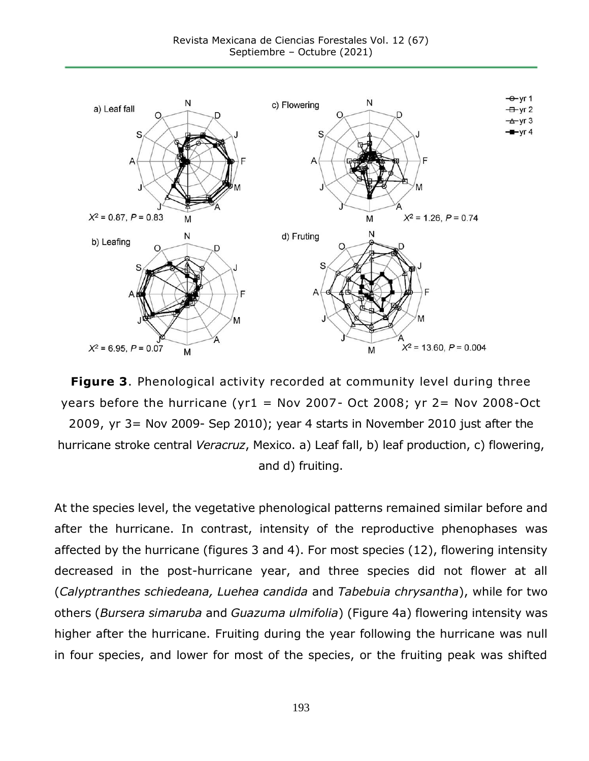

**Figure 3**. Phenological activity recorded at community level during three years before the hurricane (yr1 = Nov 2007- Oct 2008; yr 2= Nov 2008-Oct 2009, yr 3= Nov 2009- Sep 2010); year 4 starts in November 2010 just after the hurricane stroke central *Veracruz*, Mexico. a) Leaf fall, b) leaf production, c) flowering, and d) fruiting.

At the species level, the vegetative phenological patterns remained similar before and after the hurricane. In contrast, intensity of the reproductive phenophases was affected by the hurricane (figures 3 and 4). For most species (12), flowering intensity decreased in the post-hurricane year, and three species did not flower at all (*Calyptranthes schiedeana, Luehea candida* and *Tabebuia chrysantha*), while for two others (*Bursera simaruba* and *Guazuma ulmifolia*) (Figure 4a) flowering intensity was higher after the hurricane. Fruiting during the year following the hurricane was null in four species, and lower for most of the species, or the fruiting peak was shifted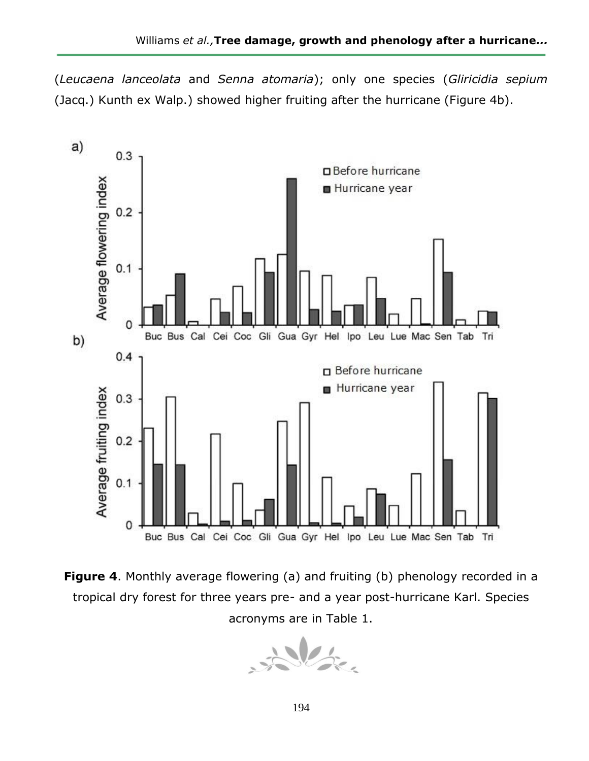(*Leucaena lanceolata* and *Senna atomaria*); only one species (*Gliricidia sepium* (Jacq.) Kunth ex Walp.) showed higher fruiting after the hurricane (Figure 4b).



**Figure 4.** Monthly average flowering (a) and fruiting (b) phenology recorded in a tropical dry forest for three years pre- and a year post-hurricane Karl. Species acronyms are in Table 1.

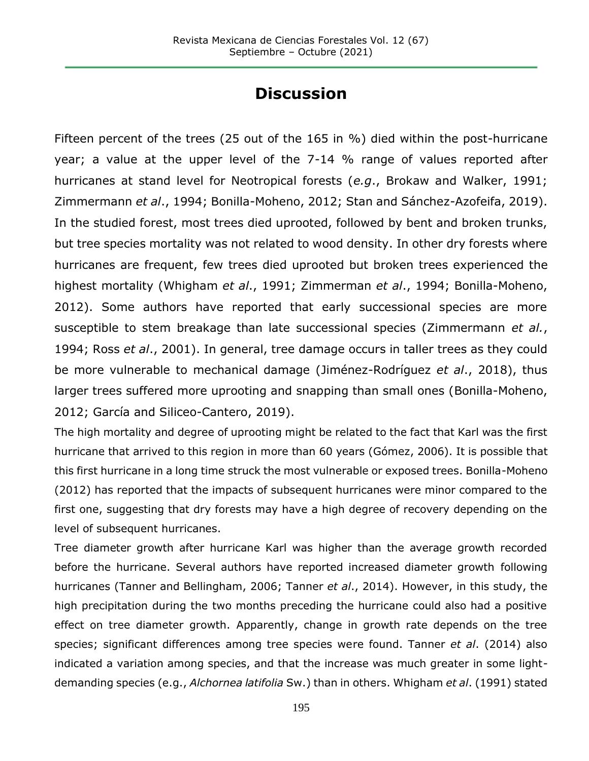# **Discussion**

Fifteen percent of the trees (25 out of the 165 in %) died within the post-hurricane year; a value at the upper level of the 7-14 % range of values reported after hurricanes at stand level for Neotropical forests (*e.g*., Brokaw and Walker, 1991; Zimmermann *et al*., 1994; Bonilla-Moheno, 2012; Stan and Sánchez-Azofeifa, 2019). In the studied forest, most trees died uprooted, followed by bent and broken trunks, but tree species mortality was not related to wood density. In other dry forests where hurricanes are frequent, few trees died uprooted but broken trees experienced the highest mortality (Whigham *et al*., 1991; Zimmerman *et al*., 1994; Bonilla-Moheno, 2012). Some authors have reported that early successional species are more susceptible to stem breakage than late successional species (Zimmermann *et al.*, 1994; Ross *et al*., 2001). In general, tree damage occurs in taller trees as they could be more vulnerable to mechanical damage (Jiménez-Rodríguez *et al*., 2018), thus larger trees suffered more uprooting and snapping than small ones (Bonilla-Moheno, 2012; García and Siliceo-Cantero, 2019).

The high mortality and degree of uprooting might be related to the fact that Karl was the first hurricane that arrived to this region in more than 60 years (Gómez, 2006). It is possible that this first hurricane in a long time struck the most vulnerable or exposed trees. Bonilla-Moheno (2012) has reported that the impacts of subsequent hurricanes were minor compared to the first one, suggesting that dry forests may have a high degree of recovery depending on the level of subsequent hurricanes.

Tree diameter growth after hurricane Karl was higher than the average growth recorded before the hurricane. Several authors have reported increased diameter growth following hurricanes (Tanner and Bellingham, 2006; Tanner *et al*., 2014). However, in this study, the high precipitation during the two months preceding the hurricane could also had a positive effect on tree diameter growth. Apparently, change in growth rate depends on the tree species; significant differences among tree species were found. Tanner *et al*. (2014) also indicated a variation among species, and that the increase was much greater in some lightdemanding species (e.g., *Alchornea latifolia* Sw.) than in others. Whigham *et al*. (1991) stated

195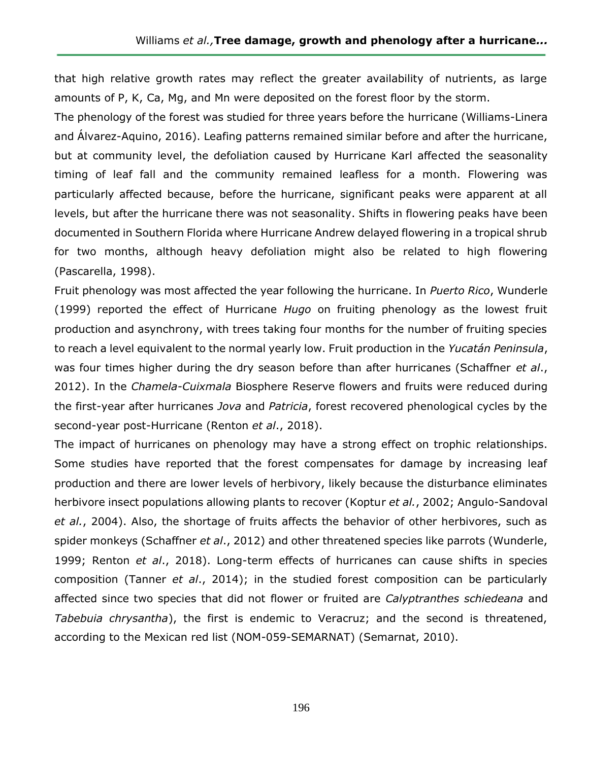that high relative growth rates may reflect the greater availability of nutrients, as large amounts of P, K, Ca, Mg, and Mn were deposited on the forest floor by the storm.

The phenology of the forest was studied for three years before the hurricane (Williams-Linera and Álvarez-Aquino, 2016). Leafing patterns remained similar before and after the hurricane, but at community level, the defoliation caused by Hurricane Karl affected the seasonality timing of leaf fall and the community remained leafless for a month. Flowering was particularly affected because, before the hurricane, significant peaks were apparent at all levels, but after the hurricane there was not seasonality. Shifts in flowering peaks have been documented in Southern Florida where Hurricane Andrew delayed flowering in a tropical shrub for two months, although heavy defoliation might also be related to high flowering (Pascarella, 1998).

Fruit phenology was most affected the year following the hurricane. In *Puerto Rico*, Wunderle (1999) reported the effect of Hurricane *Hugo* on fruiting phenology as the lowest fruit production and asynchrony, with trees taking four months for the number of fruiting species to reach a level equivalent to the normal yearly low. Fruit production in the *Yucatán Peninsula*, was four times higher during the dry season before than after hurricanes (Schaffner *et al*., 2012). In the *Chamela-Cuixmala* Biosphere Reserve flowers and fruits were reduced during the first-year after hurricanes *Jova* and *Patricia*, forest recovered phenological cycles by the second-year post-Hurricane (Renton *et al*., 2018).

The impact of hurricanes on phenology may have a strong effect on trophic relationships. Some studies have reported that the forest compensates for damage by increasing leaf production and there are lower levels of herbivory, likely because the disturbance eliminates herbivore insect populations allowing plants to recover (Koptur *et al.*, 2002; Angulo-Sandoval *et al.*, 2004). Also, the shortage of fruits affects the behavior of other herbivores, such as spider monkeys (Schaffner *et al*., 2012) and other threatened species like parrots (Wunderle, 1999; Renton *et al*., 2018). Long-term effects of hurricanes can cause shifts in species composition (Tanner *et al*., 2014); in the studied forest composition can be particularly affected since two species that did not flower or fruited are *Calyptranthes schiedeana* and *Tabebuia chrysantha*), the first is endemic to Veracruz; and the second is threatened, according to the Mexican red list (NOM-059-SEMARNAT) (Semarnat, 2010).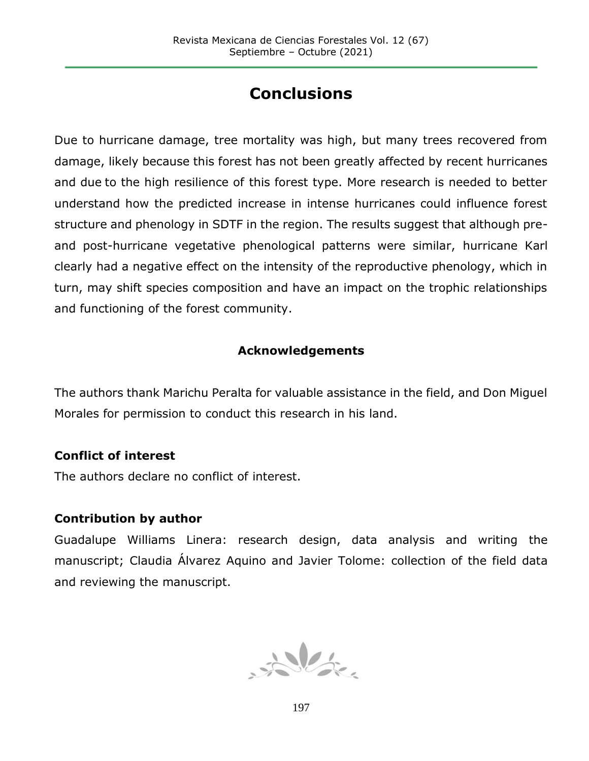# **Conclusions**

Due to hurricane damage, tree mortality was high, but many trees recovered from damage, likely because this forest has not been greatly affected by recent hurricanes and due to the high resilience of this forest type. More research is needed to better understand how the predicted increase in intense hurricanes could influence forest structure and phenology in SDTF in the region. The results suggest that although preand post-hurricane vegetative phenological patterns were similar, hurricane Karl clearly had a negative effect on the intensity of the reproductive phenology, which in turn, may shift species composition and have an impact on the trophic relationships and functioning of the forest community.

### **Acknowledgements**

The authors thank Marichu Peralta for valuable assistance in the field, and Don Miguel Morales for permission to conduct this research in his land.

### **Conflict of interest**

The authors declare no conflict of interest.

### **Contribution by author**

Guadalupe Williams Linera: research design, data analysis and writing the manuscript; Claudia Álvarez Aquino and Javier Tolome: collection of the field data and reviewing the manuscript.

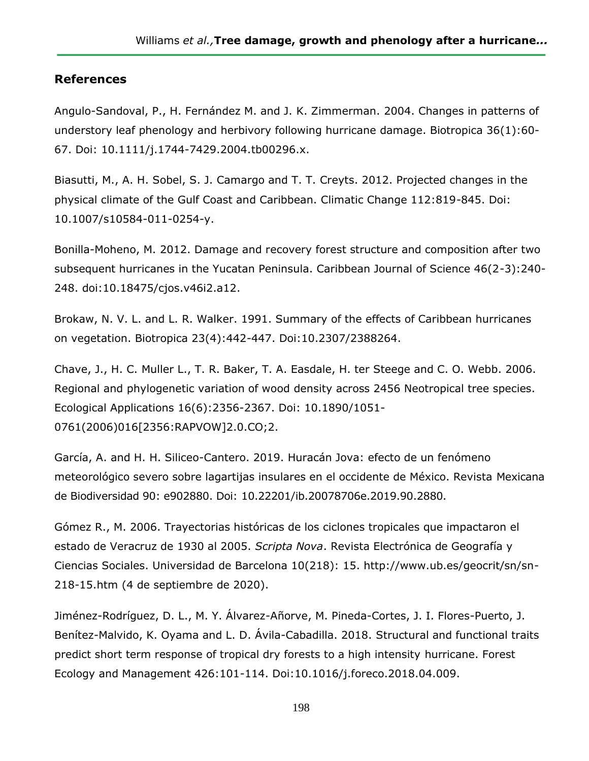#### **References**

Angulo-Sandoval, P., H. Fernández M. and J. K. Zimmerman. 2004. Changes in patterns of understory leaf phenology and herbivory following hurricane damage. Biotropica 36(1):60- 67. Doi: [10.1111/j.1744-7429.2004.tb00296.x.](https://doi.org/10.1111/j.1744-7429.2004.tb00296.x)

Biasutti, M., A. H. [Sobel,](http://link.springer.com/search?facet-author=%22Adam+H.+Sobel%22) S. J. Camargo and [T. T. Creyts.](http://link.springer.com/search?facet-author=%22Timothy+T.+Creyts%22) 2012. Projected changes in the physical climate of the Gulf Coast and Caribbean. Climatic Change 112:819-845. Doi: 10.1007/s10584-011-0254-y.

Bonilla-Moheno, M. 2012. Damage and recovery forest structure and composition after two subsequent hurricanes in the Yucatan Peninsula. Caribbean Journal of Science 46(2-3):240- 248. doi[:10.18475/cjos.v46i2.a12.](https://www.researchgate.net/deref/http%3A%2F%2Fdx.doi.org%2F10.18475%2Fcjos.v46i2.a12?_sg%5B0%5D=5FePxs3K_-vy_arF8MjD_ZvRAqy6cJnb-_x8pM1rg7PgLiPAMfOK11EQQxUR24MqlVRUpspmZQn3ps5qxyBZzyBqlQ.yFbla3SKQ9KGjQiEBKenZfyjBN1f6sVZ_Y8YsyGsM-Jd8TuvzDHckfKNFETJnx8bwyw2f3ra9--_nws39zCWMg)

Brokaw, N. V. L. and L. R. Walker. 1991. Summary of the effects of Caribbean hurricanes on vegetation. Biotropica 23(4):442-447. Doi:10.2307/2388264.

Chave, J., H. C. Muller L., T. R. Baker, T. A. Easdale, H. ter Steege and C. O. Webb. 2006. Regional and phylogenetic variation of wood density across 2456 Neotropical tree species. Ecological Applications 16(6):2356-2367. Doi: 10.1890/1051- 0761(2006)016[2356:RAPVOW]2.0.CO;2.

García, A. and H. H. Siliceo-Cantero. 2019. Huracán Jova: efecto de un fenómeno meteorológico severo sobre lagartijas insulares en el occidente de México. Revista Mexicana de Biodiversidad 90: e902880. Doi: 10.22201/ib.20078706e.2019.90.2880.

Gómez R., M. 2006. Trayectorias históricas de los ciclones tropicales que impactaron el estado de Veracruz de 1930 al 2005. *Scripta Nova*. Revista Electrónica de Geografía y Ciencias Sociales. Universidad de Barcelona 10(218): 15. http://www.ub.es/geocrit/sn/sn-218-15.htm (4 de septiembre de 2020).

Jiménez-Rodríguez, D. L., M. Y. Álvarez-Añorve, M. Pineda-Cortes, J. I. Flores-Puerto, J. Benítez-Malvido, K. Oyama and L. D. Ávila-Cabadilla. 2018. Structural and functional traits predict short term response of tropical dry forests to a high intensity hurricane. Forest Ecology and Management 426:101-114. Doi:10.1016/j.foreco.2018.04.009.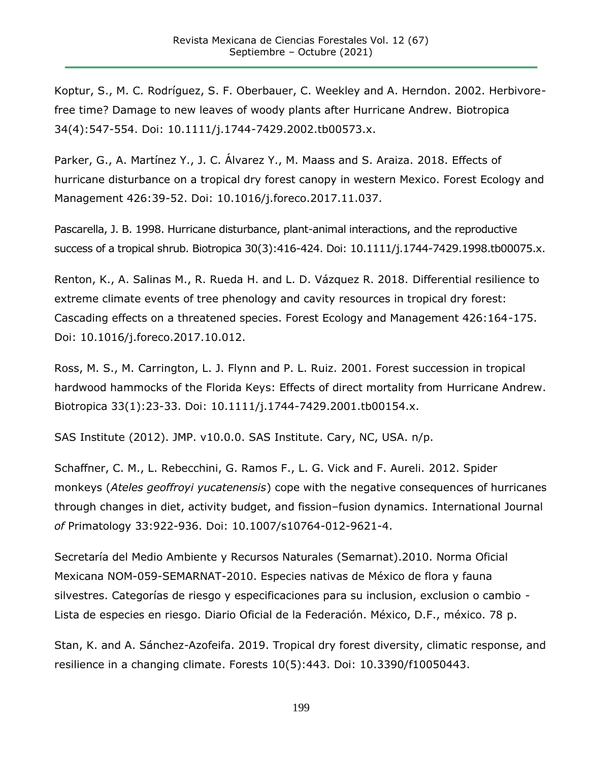Koptur, S., M. C. Rodríguez, S. F. Oberbauer, C. Weekley and A. Herndon. 2002. Herbivorefree time? Damage to new leaves of woody plants after Hurricane Andrew. Biotropica 34(4):547-554. Doi: 10.1111/j.1744-7429.2002.tb00573.x.

Parker, G., A. Martínez Y., J. C. Álvarez Y., M. Maass and S. Araiza. 2018. Effects of hurricane disturbance on a tropical dry forest canopy in western Mexico. Forest Ecology and Management 426:39-52. Doi: 10.1016/j.foreco.2017.11.037.

Pascarella, J. B. 1998. Hurricane disturbance, plant-animal interactions, and the reproductive success of a tropical shrub. Biotropica 30(3):416-424. Doi: 10.1111/j.1744-7429.1998.tb00075.x.

Renton, K., A. Salinas M., R. Rueda H. and L. D. Vázquez R. 2018. Differential resilience to extreme climate events of tree phenology and cavity resources in tropical dry forest: Cascading effects on a threatened species. Forest Ecology and Management 426:164-175. Doi: 10.1016/j.foreco.2017.10.012.

Ross, M. S., M. Carrington, L. J. Flynn and P. L. Ruiz. 2001. Forest succession in tropical hardwood hammocks of the Florida Keys: Effects of direct mortality from Hurricane Andrew. Biotropica 33(1):23-33. Doi: 10.1111/j.1744-7429.2001.tb00154.x.

SAS Institute (2012). JMP. v10.0.0. SAS Institute. Cary, NC, USA. n/p.

Schaffner, C. M., L. Rebecchini, G. Ramos F., L. G. Vick and F. Aureli. 2012. Spider monkeys (*Ateles geoffroyi yucatenensis*) cope with the negative consequences of hurricanes through changes in diet, activity budget, and fission–fusion dynamics. International Journal *of* Primatology 33:922-936. Doi: 10.1007/s10764-012-9621-4.

Secretaría del Medio Ambiente y Recursos Naturales (Semarnat).2010. Norma Oficial Mexicana NOM-059-SEMARNAT-2010. Especies nativas de México de flora y fauna silvestres. Categorías de riesgo y especificaciones para su inclusion, exclusion o cambio - Lista de especies en riesgo. Diario Oficial de la Federación. México, D.F., méxico. 78 p.

Stan, K. and A. Sánchez-Azofeifa. 2019. Tropical dry forest diversity, climatic response, and resilience in a changing climate. Forests 10(5):443. Doi: 10.3390/f10050443.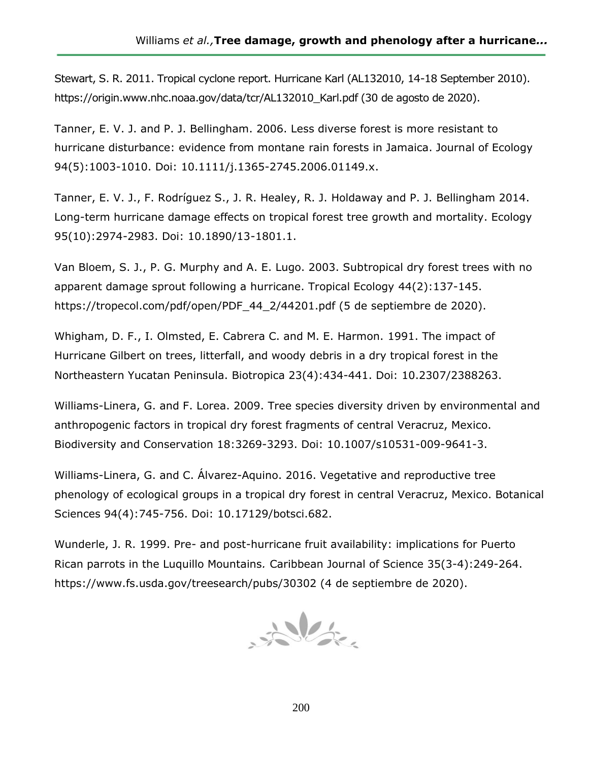Stewart, S. R. 2011. Tropical cyclone report. Hurricane Karl (AL132010, 14-18 September 2010). [https://origin.www.nhc.noaa.gov/data/tcr/AL132010\\_Karl.pdf \(30](https://origin.www.nhc.noaa.gov/data/tcr/AL132010_Karl.pdf%20(30) de agosto de 2020).

Tanner, E. V. J. and P. J. Bellingham. 2006. Less diverse forest is more resistant to hurricane disturbance: evidence from montane rain forests in Jamaica. Journal of Ecology 94(5):1003-1010. Doi: 10.1111/j.1365-2745.2006.01149.x.

Tanner, E. V. J., F. Rodríguez S., J. R. Healey, R. J. Holdaway and P. J. Bellingham 2014. Long-term hurricane damage effects on tropical forest tree growth and mortality. Ecology 95(10):2974-2983. Doi: 10.1890/13-1801.1.

Van Bloem, S. J., P. G. Murphy and A. E. Lugo. 2003. Subtropical dry forest trees with no apparent damage sprout following a hurricane. Tropical Ecology 44(2):137-145. [https://tropecol.com/pdf/open/PDF\\_44\\_2/44201.pdf \(5](https://tropecol.com/pdf/open/PDF_44_2/44201.pdf%20(5) de septiembre de 2020).

Whigham, D. F., I. Olmsted, E. Cabrera C. and M. E. Harmon. 1991. The impact of Hurricane Gilbert on trees, litterfall, and woody debris in a dry tropical forest in the Northeastern Yucatan Peninsula. Biotropica 23(4):434-441. Doi: 10.2307/2388263.

Williams-Linera, G. and F. Lorea. 2009. Tree species diversity driven by environmental and anthropogenic factors in tropical dry forest fragments of central Veracruz, Mexico. Biodiversity and Conservation 18:3269-3293. Doi: 10.1007/s10531-009-9641-3.

Williams-Linera, G. and C. Álvarez-Aquino. 2016. Vegetative and reproductive tree phenology of ecological groups in a tropical dry forest in central Veracruz, Mexico. Botanical Sciences 94(4):745-756. Doi: 10.17129/botsci.682.

Wunderle, J. R. 1999. Pre- and post-hurricane fruit availability: implications for Puerto Rican parrots in the Luquillo Mountains*.* Caribbean Journal of Science 35(3-4):249-264. [https://www.fs.usda.gov/treesearch/pubs/30302 \(4](https://www.fs.usda.gov/treesearch/pubs/30302%20(4) de septiembre de 2020).